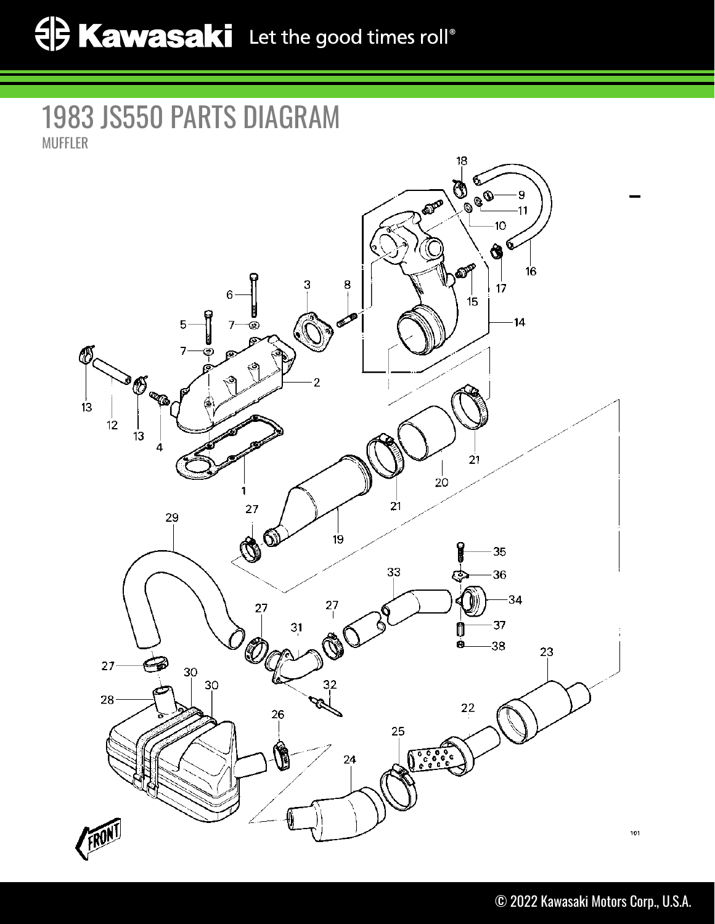## 1983 JS550 PARTS DIAGRAM MUFFLER

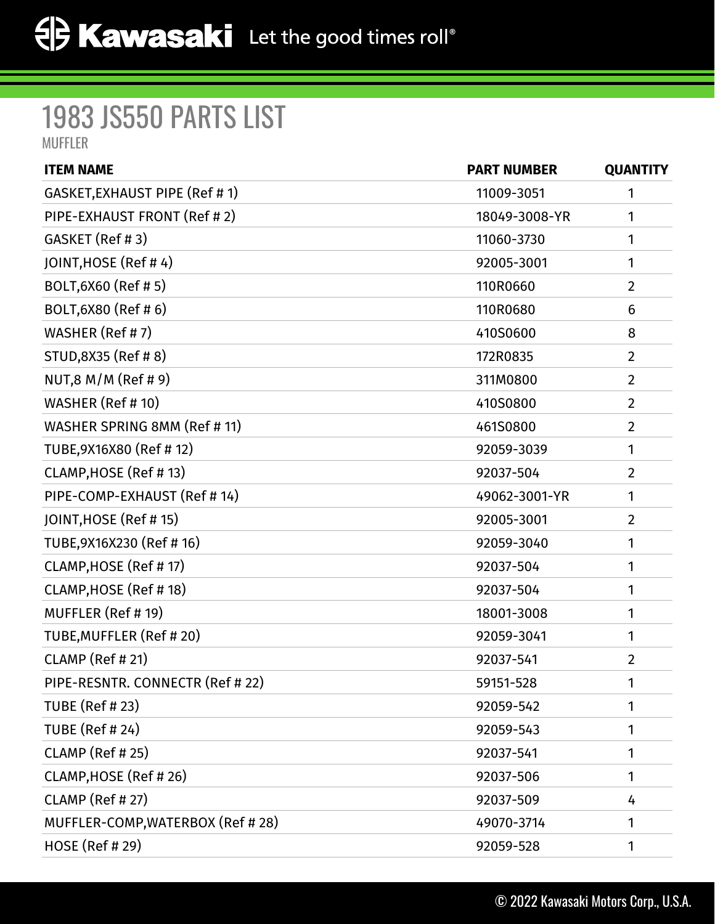## 1983 JS550 PARTS LIST MUFFLER

| <b>ITEM NAME</b>                  | <b>PART NUMBER</b> | <b>QUANTITY</b> |
|-----------------------------------|--------------------|-----------------|
| GASKET, EXHAUST PIPE (Ref # 1)    | 11009-3051         | 1               |
| PIPE-EXHAUST FRONT (Ref #2)       | 18049-3008-YR      | 1               |
| GASKET (Ref #3)                   | 11060-3730         | 1               |
| JOINT, HOSE (Ref #4)              | 92005-3001         | 1               |
| BOLT, 6X60 (Ref # 5)              | 110R0660           | $\overline{2}$  |
| BOLT, 6X80 (Ref # 6)              | 110R0680           | 6               |
| WASHER (Ref # 7)                  | 410S0600           | 8               |
| STUD, 8X35 (Ref #8)               | 172R0835           | $\overline{2}$  |
| NUT,8 M/M (Ref # 9)               | 311M0800           | $\overline{2}$  |
| WASHER (Ref # 10)                 | 410S0800           | $\overline{2}$  |
| WASHER SPRING 8MM (Ref # 11)      | 461S0800           | $\overline{2}$  |
| TUBE, 9X16X80 (Ref #12)           | 92059-3039         | 1               |
| CLAMP, HOSE (Ref #13)             | 92037-504          | $\overline{2}$  |
| PIPE-COMP-EXHAUST (Ref # 14)      | 49062-3001-YR      | 1               |
| JOINT, HOSE (Ref # 15)            | 92005-3001         | $\overline{2}$  |
| TUBE, 9X16X230 (Ref # 16)         | 92059-3040         | 1               |
| CLAMP, HOSE (Ref #17)             | 92037-504          | 1               |
| CLAMP, HOSE (Ref #18)             | 92037-504          | 1               |
| MUFFLER (Ref #19)                 | 18001-3008         | 1               |
| TUBE, MUFFLER (Ref #20)           | 92059-3041         | 1               |
| CLAMP (Ref # 21)                  | 92037-541          | $\overline{2}$  |
| PIPE-RESNTR. CONNECTR (Ref # 22)  | 59151-528          | $\mathbf{1}$    |
| <b>TUBE (Ref #23)</b>             | 92059-542          | 1               |
| <b>TUBE (Ref # 24)</b>            | 92059-543          | 1               |
| <b>CLAMP</b> (Ref # 25)           | 92037-541          | 1               |
| CLAMP, HOSE (Ref # 26)            | 92037-506          | 1               |
| <b>CLAMP (Ref #27)</b>            | 92037-509          | 4               |
| MUFFLER-COMP, WATERBOX (Ref # 28) | 49070-3714         | 1               |
| <b>HOSE</b> (Ref # 29)            | 92059-528          | 1               |